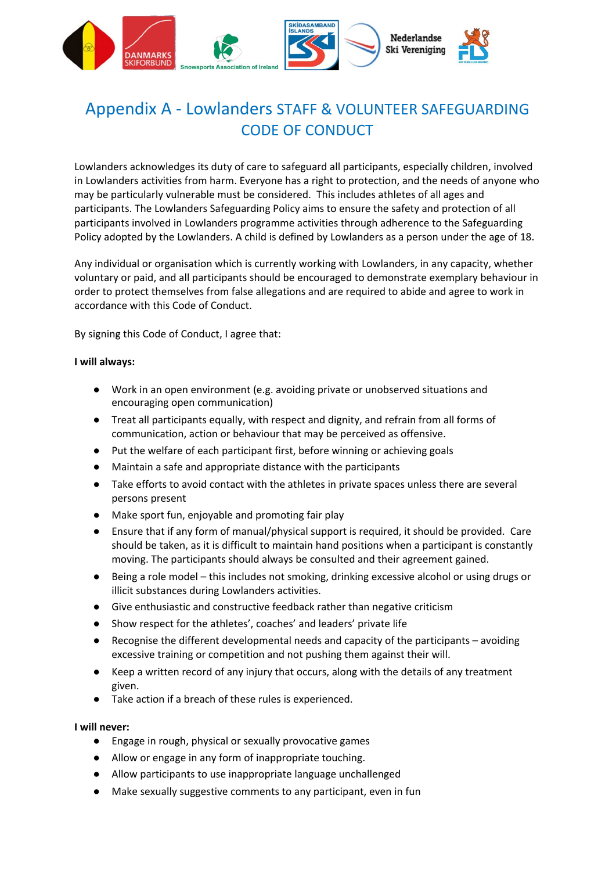

# Appendix A - Lowlanders STAFF & VOLUNTEER SAFEGUARDING CODE OF CONDUCT

Lowlanders acknowledges its duty of care to safeguard all participants, especially children, involved in Lowlanders activities from harm. Everyone has a right to protection, and the needs of anyone who may be particularly vulnerable must be considered. This includes athletes of all ages and participants. The Lowlanders Safeguarding Policy aims to ensure the safety and protection of all participants involved in Lowlanders programme activities through adherence to the Safeguarding Policy adopted by the Lowlanders. A child is defined by Lowlanders as a person under the age of 18.

Any individual or organisation which is currently working with Lowlanders, in any capacity, whether voluntary or paid, and all participants should be encouraged to demonstrate exemplary behaviour in order to protect themselves from false allegations and are required to abide and agree to work in accordance with this Code of Conduct.

By signing this Code of Conduct, I agree that:

#### **I will always:**

- Work in an open environment (e.g. avoiding private or unobserved situations and encouraging open communication)
- Treat all participants equally, with respect and dignity, and refrain from all forms of communication, action or behaviour that may be perceived as offensive.
- Put the welfare of each participant first, before winning or achieving goals
- Maintain a safe and appropriate distance with the participants
- Take efforts to avoid contact with the athletes in private spaces unless there are several persons present
- Make sport fun, enjoyable and promoting fair play
- Ensure that if any form of manual/physical support is required, it should be provided. Care should be taken, as it is difficult to maintain hand positions when a participant is constantly moving. The participants should always be consulted and their agreement gained.
- Being a role model this includes not smoking, drinking excessive alcohol or using drugs or illicit substances during Lowlanders activities.
- Give enthusiastic and constructive feedback rather than negative criticism
- Show respect for the athletes', coaches' and leaders' private life
- Recognise the different developmental needs and capacity of the participants avoiding excessive training or competition and not pushing them against their will.
- Keep a written record of any injury that occurs, along with the details of any treatment given.
- Take action if a breach of these rules is experienced.

#### **I will never:**

- Engage in rough, physical or sexually provocative games
- Allow or engage in any form of inappropriate touching.
- Allow participants to use inappropriate language unchallenged
- Make sexually suggestive comments to any participant, even in fun